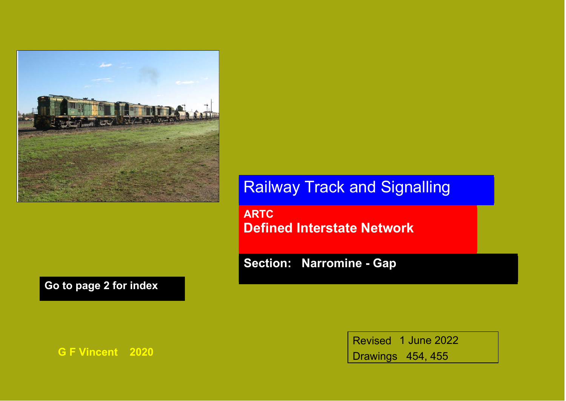

**Go to page 2 for index** 

Railway Track and Signalling

**ARTC Defined Interstate Network** 

**Section: Narromine - Gap** 

**G F Vincent 2020** 

Revised 1 June 2022 Drawings 454, 455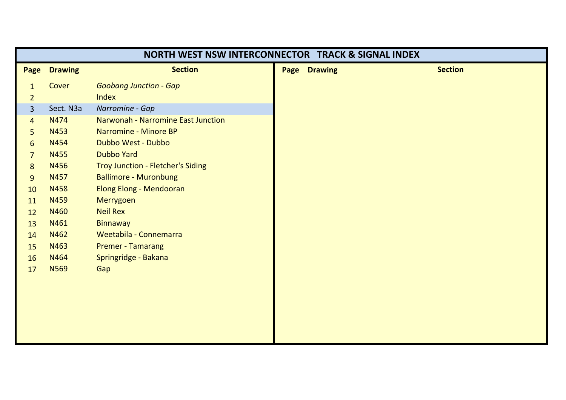| <b>NORTH WEST NSW INTERCONNECTOR TRACK &amp; SIGNAL INDEX</b> |                |                                    |                     |                |
|---------------------------------------------------------------|----------------|------------------------------------|---------------------|----------------|
| Page                                                          | <b>Drawing</b> | <b>Section</b>                     | <b>Page Drawing</b> | <b>Section</b> |
| $\mathbf{1}$                                                  | Cover          | <b>Goobang Junction - Gap</b>      |                     |                |
| $\overline{2}$                                                |                | Index                              |                     |                |
| 3                                                             | Sect. N3a      | Narromine - Gap                    |                     |                |
| $\overline{4}$                                                | N474           | Narwonah - Narromine East Junction |                     |                |
| 5                                                             | N453           | Narromine - Minore BP              |                     |                |
| 6                                                             | N454           | Dubbo West - Dubbo                 |                     |                |
| $\overline{7}$                                                | <b>N455</b>    | <b>Dubbo Yard</b>                  |                     |                |
| 8                                                             | N456           | Troy Junction - Fletcher's Siding  |                     |                |
| 9                                                             | N457           | <b>Ballimore - Muronbung</b>       |                     |                |
| 10                                                            | N458           | Elong Elong - Mendooran            |                     |                |
| 11                                                            | <b>N459</b>    | Merrygoen                          |                     |                |
| 12                                                            | N460           | <b>Neil Rex</b>                    |                     |                |
| 13                                                            | N461           | <b>Binnaway</b>                    |                     |                |
| 14                                                            | N462           | Weetabila - Connemarra             |                     |                |
| 15                                                            | N463           | <b>Premer - Tamarang</b>           |                     |                |
| 16                                                            | N464           | Springridge - Bakana               |                     |                |
| 17                                                            | <b>N569</b>    | Gap                                |                     |                |
|                                                               |                |                                    |                     |                |
|                                                               |                |                                    |                     |                |
|                                                               |                |                                    |                     |                |
|                                                               |                |                                    |                     |                |
|                                                               |                |                                    |                     |                |
|                                                               |                |                                    |                     |                |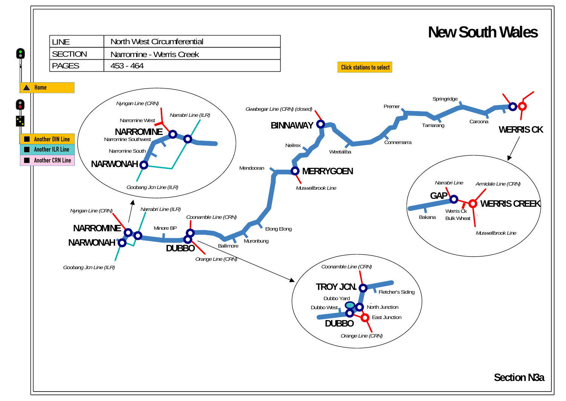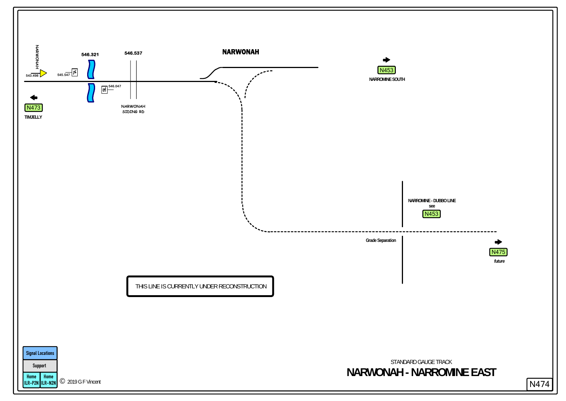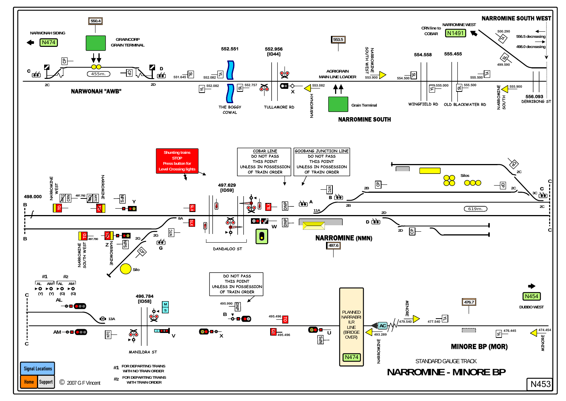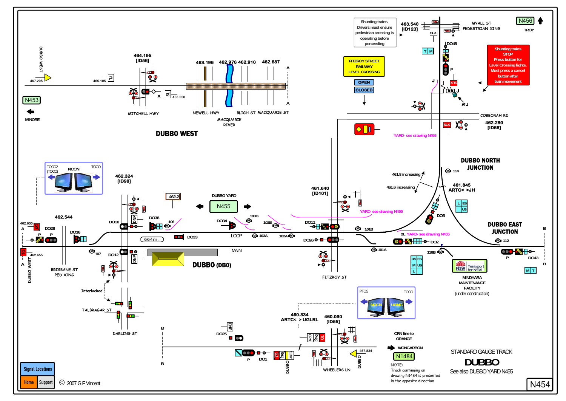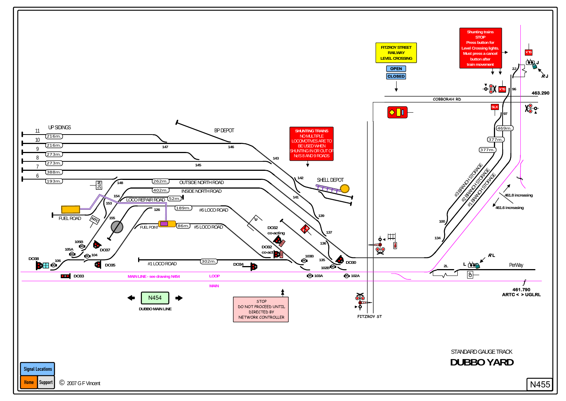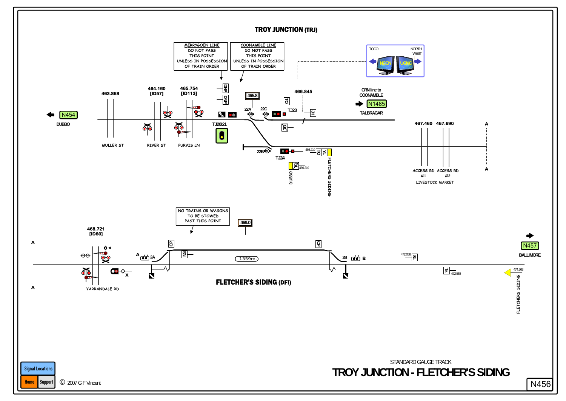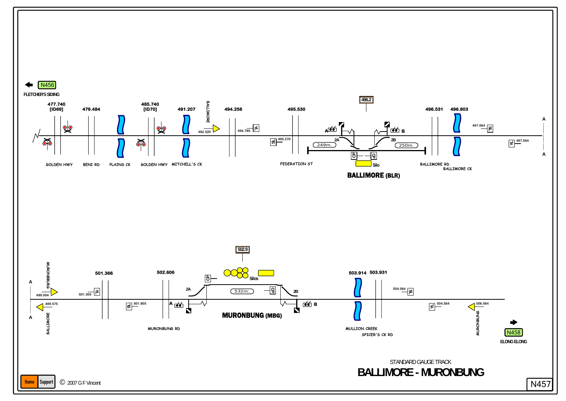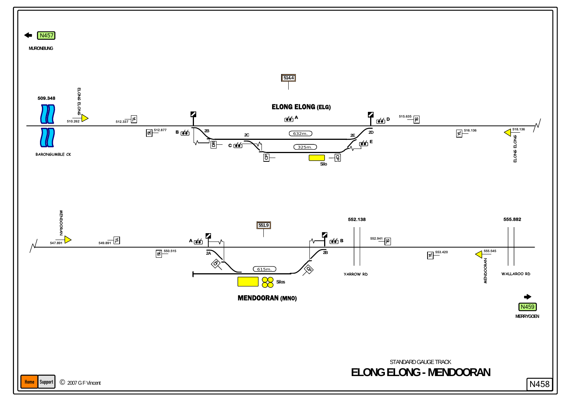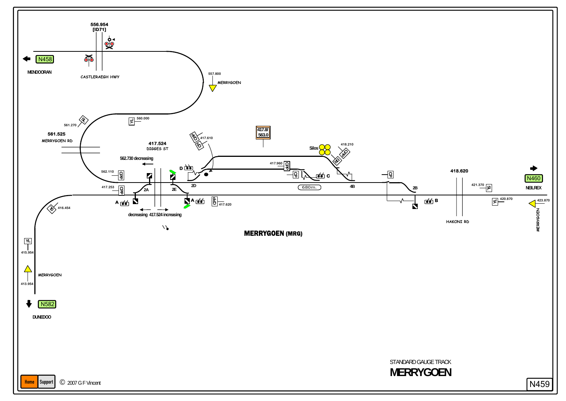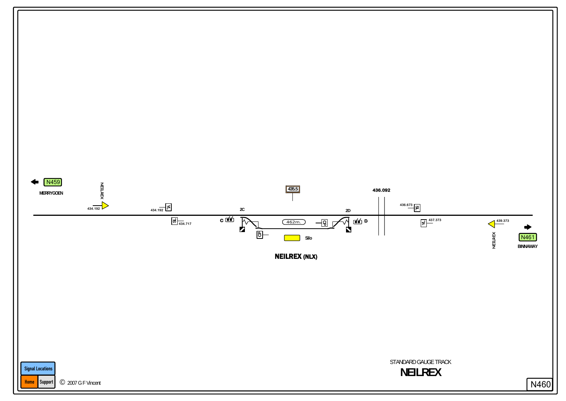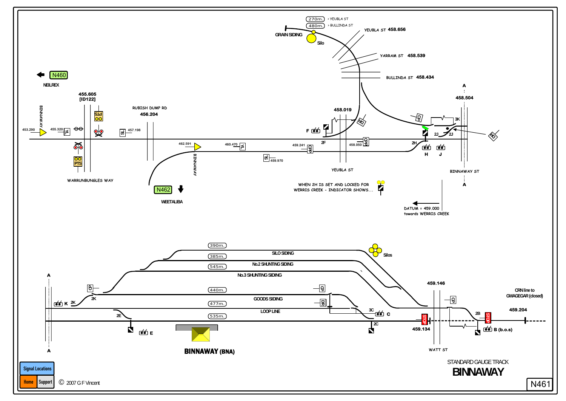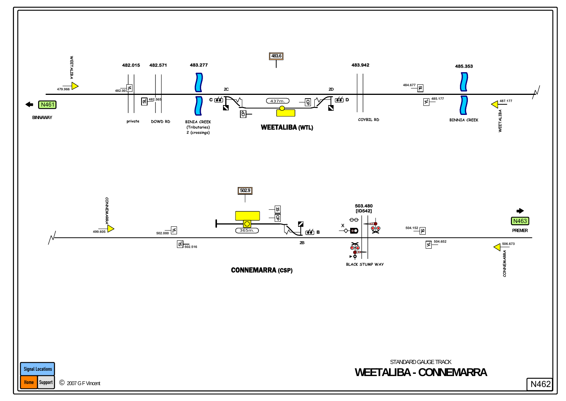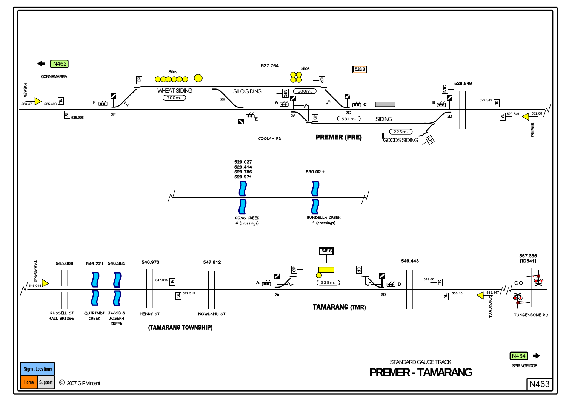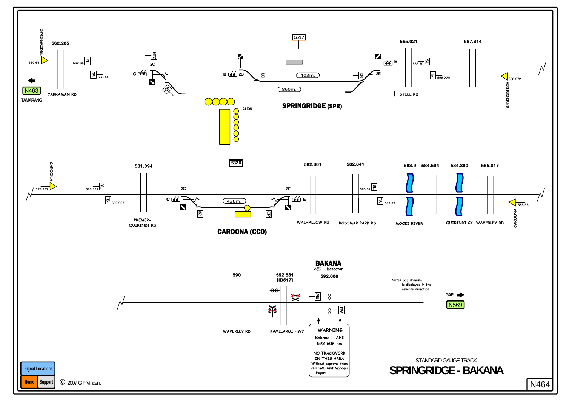